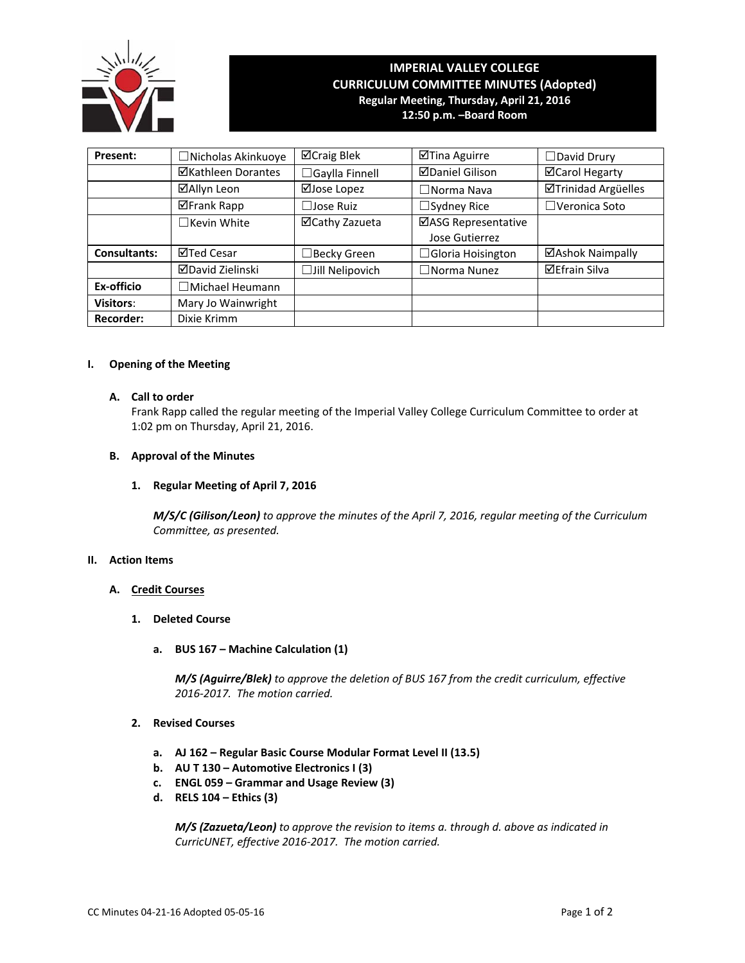

# **IMPERIAL VALLEY COLLEGE CURRICULUM COMMITTEE MINUTES (Adopted) Regular Meeting, Thursday, April 21, 2016**

**12:50 p.m. –Board Room**

| Present:            | □Nicholas Akinkuoye     | $\boxtimes$ Craig Blek | ⊠Tina Aguirre                         | $\Box$ David Drury    |
|---------------------|-------------------------|------------------------|---------------------------------------|-----------------------|
|                     | ⊠Kathleen Dorantes      | $\Box$ Gaylla Finnell  | <b>ØDaniel Gilison</b>                | <b>⊠Carol Hegarty</b> |
|                     | ⊠Allyn Leon             | ⊠Jose Lopez            | $\Box$ Norma Nava                     | ⊠Trinidad Argüelles   |
|                     | ⊠Frank Rapp             | $\Box$ Jose Ruiz       | $\Box$ Sydney Rice                    | $\Box$ Veronica Soto  |
|                     | $\Box$ Kevin White      | ⊠Cathy Zazueta         | ⊠ASG Representative<br>Jose Gutierrez |                       |
| <b>Consultants:</b> | ⊠Ted Cesar              | $\Box$ Becky Green     | $\Box$ Gloria Hoisington              | ⊠Ashok Naimpally      |
|                     | <b>ØDavid Zielinski</b> | $\Box$ Jill Nelipovich | $\Box$ Norma Nunez                    | <b>⊠Efrain Silva</b>  |
| Ex-officio          | ∃Michael Heumann        |                        |                                       |                       |
| <b>Visitors:</b>    | Mary Jo Wainwright      |                        |                                       |                       |
| <b>Recorder:</b>    | Dixie Krimm             |                        |                                       |                       |

#### **I. Opening of the Meeting**

#### **A. Call to order**

Frank Rapp called the regular meeting of the Imperial Valley College Curriculum Committee to order at 1:02 pm on Thursday, April 21, 2016.

#### **B. Approval of the Minutes**

#### **1. Regular Meeting of April 7, 2016**

*M/S/C (Gilison/Leon) to approve the minutes of the April 7, 2016, regular meeting of the Curriculum Committee, as presented.* 

#### **II. Action Items**

#### **A. Credit Courses**

- **1. Deleted Course**
	- **a. BUS 167 – Machine Calculation (1)**

 *M/S (Aguirre/Blek) to approve the deletion of BUS 167 from the credit curriculum, effective 2016‐2017. The motion carried.*

## **2. Revised Courses**

- **a. AJ 162 – Regular Basic Course Modular Format Level II (13.5)**
- **b. AU T 130 – Automotive Electronics I (3)**
- **c. ENGL 059 – Grammar and Usage Review (3)**
- **d. RELS 104 – Ethics (3)**

 *M/S (Zazueta/Leon) to approve the revision to items a. through d. above as indicated in CurricUNET, effective 2016‐2017. The motion carried.*